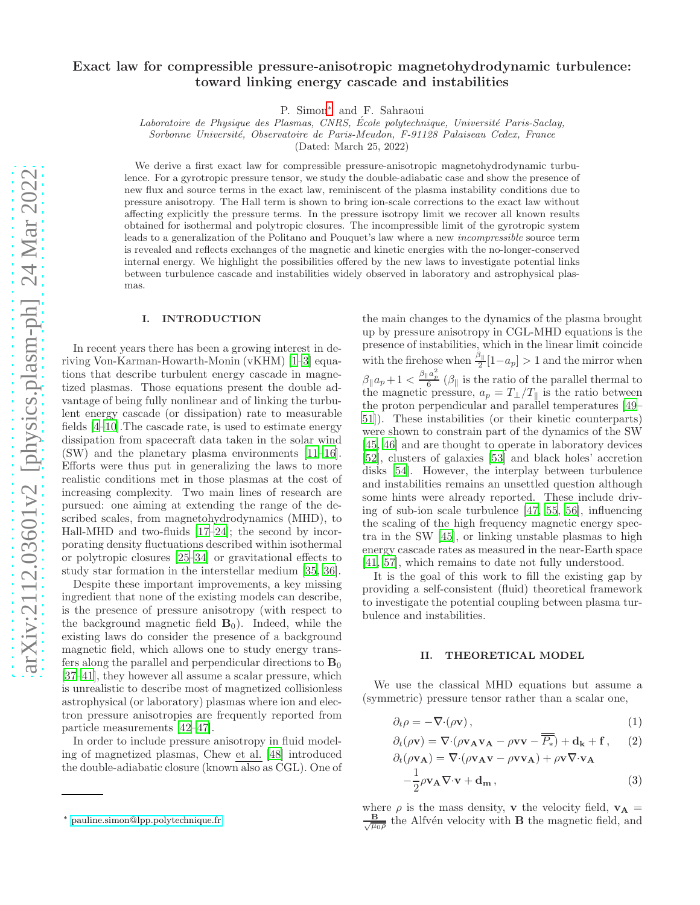# Exact law for compressible pressure-anisotropic magnetohydrodynamic turbulence: toward linking energy cascade and instabilities

P. Simon[∗](#page-0-0) and F. Sahraoui

Laboratoire de Physique des Plasmas, CNRS, École polytechnique, Université Paris-Saclay,

Sorbonne Universit´e, Observatoire de Paris-Meudon, F-91128 Palaiseau Cedex, France

(Dated: March 25, 2022)

We derive a first exact law for compressible pressure-anisotropic magnetohydrodynamic turbulence. For a gyrotropic pressure tensor, we study the double-adiabatic case and show the presence of new flux and source terms in the exact law, reminiscent of the plasma instability conditions due to pressure anisotropy. The Hall term is shown to bring ion-scale corrections to the exact law without affecting explicitly the pressure terms. In the pressure isotropy limit we recover all known results obtained for isothermal and polytropic closures. The incompressible limit of the gyrotropic system leads to a generalization of the Politano and Pouquet's law where a new incompressible source term is revealed and reflects exchanges of the magnetic and kinetic energies with the no-longer-conserved internal energy. We highlight the possibilities offered by the new laws to investigate potential links between turbulence cascade and instabilities widely observed in laboratory and astrophysical plasmas.

### I. INTRODUCTION

In recent years there has been a growing interest in deriving Von-Karman-Howarth-Monin (vKHM) [\[1](#page-6-0)[–3](#page-6-1)] equations that describe turbulent energy cascade in magnetized plasmas. Those equations present the double advantage of being fully nonlinear and of linking the turbulent energy cascade (or dissipation) rate to measurable fields [\[4](#page-6-2)[–10\]](#page-6-3).The cascade rate, is used to estimate energy dissipation from spacecraft data taken in the solar wind (SW) and the planetary plasma environments [\[11](#page-6-4)[–16\]](#page-6-5). Efforts were thus put in generalizing the laws to more realistic conditions met in those plasmas at the cost of increasing complexity. Two main lines of research are pursued: one aiming at extending the range of the described scales, from magnetohydrodynamics (MHD), to Hall-MHD and two-fluids [\[17](#page-6-6)[–24\]](#page-7-0); the second by incorporating density fluctuations described within isothermal or polytropic closures [\[25](#page-7-1)[–34\]](#page-7-2) or gravitational effects to study star formation in the interstellar medium [\[35](#page-7-3), [36](#page-7-4)].

Despite these important improvements, a key missing ingredient that none of the existing models can describe, is the presence of pressure anisotropy (with respect to the background magnetic field  $B_0$ ). Indeed, while the existing laws do consider the presence of a background magnetic field, which allows one to study energy transfers along the parallel and perpendicular directions to  $B_0$ [\[37](#page-7-5)[–41\]](#page-7-6), they however all assume a scalar pressure, which is unrealistic to describe most of magnetized collisionless astrophysical (or laboratory) plasmas where ion and electron pressure anisotropies are frequently reported from particle measurements [\[42](#page-7-7)[–47\]](#page-7-8).

In order to include pressure anisotropy in fluid modeling of magnetized plasmas, Chew et al. [\[48\]](#page-7-9) introduced the double-adiabatic closure (known also as CGL). One of

the main changes to the dynamics of the plasma brought up by pressure anisotropy in CGL-MHD equations is the presence of instabilities, which in the linear limit coincide with the firehose when  $\frac{\beta_{\parallel}}{2}[1-a_p] > 1$  and the mirror when  $\beta_{\parallel}a_p + 1 < \frac{\beta_{\parallel}a_p^2}{6}$  ( $\beta_{\parallel}$  is the ratio of the parallel thermal to the magnetic pressure,  $a_p = T_{\perp}/T_{\parallel}$  is the ratio between the proton perpendicular and parallel temperatures [\[49](#page-7-10)– [51](#page-7-11)]). These instabilities (or their kinetic counterparts) were shown to constrain part of the dynamics of the SW [\[45,](#page-7-12) [46\]](#page-7-13) and are thought to operate in laboratory devices [\[52\]](#page-7-14), clusters of galaxies [\[53](#page-8-0)] and black holes' accretion disks [\[54\]](#page-8-1). However, the interplay between turbulence and instabilities remains an unsettled question although some hints were already reported. These include driving of sub-ion scale turbulence [\[47,](#page-7-8) [55,](#page-8-2) [56\]](#page-8-3), influencing the scaling of the high frequency magnetic energy spectra in the SW [\[45\]](#page-7-12), or linking unstable plasmas to high energy cascade rates as measured in the near-Earth space [\[41,](#page-7-6) [57\]](#page-8-4), which remains to date not fully understood.

It is the goal of this work to fill the existing gap by providing a self-consistent (fluid) theoretical framework to investigate the potential coupling between plasma turbulence and instabilities.

### II. THEORETICAL MODEL

We use the classical MHD equations but assume a (symmetric) pressure tensor rather than a scalar one,

<span id="page-0-1"></span>
$$
\partial_t \rho = -\nabla \cdot (\rho \mathbf{v}), \qquad (1)
$$

$$
\partial_t(\rho \mathbf{v}) = \nabla \cdot (\rho \mathbf{v}_{\mathbf{A}} \mathbf{v}_{\mathbf{A}} - \rho \mathbf{v} \mathbf{v} - \overline{\overline{P_*}}) + \mathbf{d}_{\mathbf{k}} + \mathbf{f}, \qquad (2)
$$

$$
\partial_t(\rho \mathbf{v}_\mathbf{A}) = \nabla \cdot (\rho \mathbf{v}_\mathbf{A} \mathbf{v} - \rho \mathbf{v} \mathbf{v}_\mathbf{A}) + \rho \mathbf{v} \nabla \cdot \mathbf{v}_\mathbf{A} \n- \frac{1}{2} \rho \mathbf{v}_\mathbf{A} \nabla \cdot \mathbf{v} + \mathbf{d}_\mathbf{m},
$$
\n(3)

where  $\rho$  is the mass density, **v** the velocity field,  $\mathbf{v}_A$  =  $\frac{\mathbf{B}}{\sqrt{u}}$  $\frac{\mathbf{B}}{\mu_0 \rho}$  the Alfvén velocity with **B** the magnetic field, and

<span id="page-0-0"></span><sup>∗</sup> [pauline.simon@lpp.polytechnique.fr](mailto:pauline.simon@lpp.polytechnique.fr)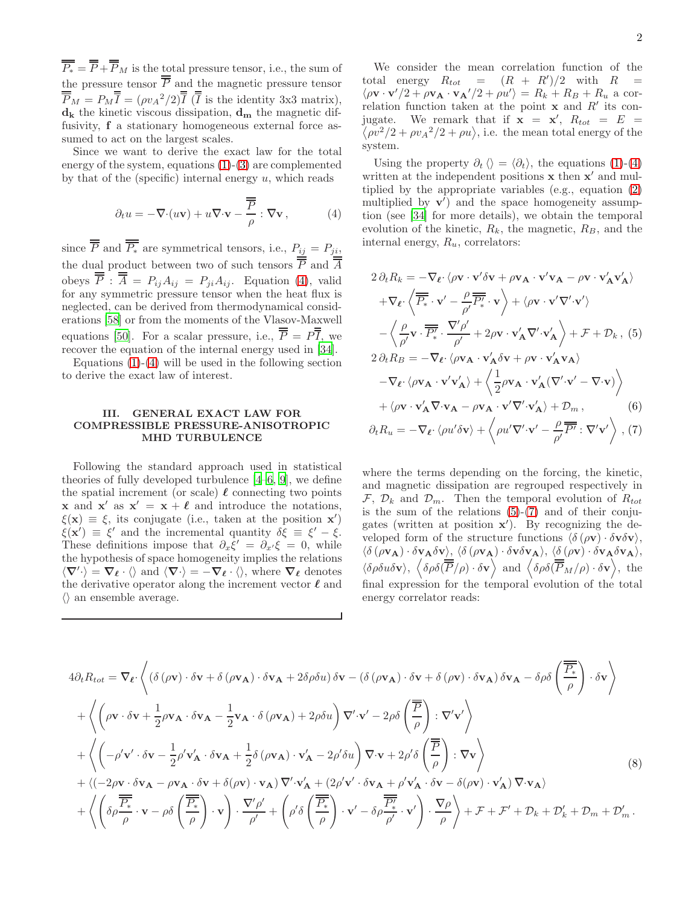$\overline{\overline{P_*}} = \overline{\overline{P}} + \overline{\overline{P}}_M$  is the total pressure tensor, i.e., the sum of the pressure tensor  $\overline{P}$  and the magnetic pressure tensor  $\overline{\overline{P}}_M = P_M \overline{\overline{I}} = (\rho v_A^2/2) \overline{\overline{I}}$  ( $\overline{\overline{I}}$  is the identity 3x3 matrix),  $\mathbf{d}_{\mathbf{k}}$  the kinetic viscous dissipation,  $\mathbf{d}_{\mathbf{m}}$  the magnetic diffusivity, f a stationary homogeneous external force assumed to act on the largest scales.

Since we want to derive the exact law for the total energy of the system, equations [\(1\)](#page-0-1)-[\(3\)](#page-0-1) are complemented by that of the (specific) internal energy  $u$ , which reads

<span id="page-1-0"></span>
$$
\partial_t u = -\nabla \cdot (u\mathbf{v}) + u\nabla \cdot \mathbf{v} - \frac{\overline{P}}{\rho} : \nabla \mathbf{v},
$$
 (4)

since P and  $P_*$  are symmetrical tensors, i.e.,  $P_{ij} = P_{ji}$ , the dual product between two of such tensors  $P$  and  $A$ obeys  $P: A = P_{ij}A_{ij} = P_{ji}A_{ij}$ . Equation [\(4\)](#page-1-0), valid for any symmetric pressure tensor when the heat flux is neglected, can be derived from thermodynamical considerations [\[58\]](#page-8-5) or from the moments of the Vlasov-Maxwell equations [\[50](#page-7-15)]. For a scalar pressure, i.e.,  $\overline{\overline{P}} = P\overline{\overline{I}}$ , we recover the equation of the internal energy used in [\[34](#page-7-2)].

Equations  $(1)-(4)$  $(1)-(4)$  will be used in the following section to derive the exact law of interest.

## III. GENERAL EXACT LAW FOR COMPRESSIBLE PRESSURE-ANISOTROPIC MHD TURBULENCE

Following the standard approach used in statistical theories of fully developed turbulence [\[4](#page-6-2)[–6,](#page-6-7) [9\]](#page-6-8), we define the spatial increment (or scale)  $\ell$  connecting two points **x** and **x'** as  $x' = x + \ell$  and introduce the notations,  $\xi(\mathbf{x}) \equiv \xi$ , its conjugate (i.e., taken at the position **x'**)  $\xi(\mathbf{x}') \equiv \xi'$  and the incremental quantity  $\delta \xi \equiv \xi' - \xi$ . These definitions impose that  $\partial_x \xi' = \partial_{x'} \xi = 0$ , while the hypothesis of space homogeneity implies the relations  $\langle \nabla' \cdot \rangle = \nabla_{\ell} \cdot \langle \rangle$  and  $\langle \nabla \cdot \rangle = -\nabla_{\ell} \cdot \langle \rangle$ , where  $\nabla_{\ell}$  denotes the derivative operator along the increment vector  $\ell$  and  $\langle \rangle$  an ensemble average.

We consider the mean correlation function of the total energy  $R_{tot} = (R + R')/2$  with  $R =$  $\langle \rho \mathbf{v} \cdot \mathbf{v}'/2 + \rho \mathbf{v_A} \cdot \mathbf{v_A}'/2 + \rho u' \rangle = R_k + R_B + R_u$  a correlation function taken at the point  $x$  and  $R'$  its conjugate. We remark that if  $x = x'$ ,  $R_{tot} = E$  $\langle \rho v^2/2 + \rho v_A^2/2 + \rho u \rangle$ , i.e. the mean total energy of the system.

Using the property  $\partial_t \langle \rangle = \langle \partial_t \rangle$ , the equations [\(1\)](#page-0-1)-[\(4\)](#page-1-0) written at the independent positions  $x$  then  $x'$  and multiplied by the appropriate variables (e.g., equation [\(2\)](#page-0-1) multiplied by  $\mathbf{v}'$  and the space homogeneity assumption (see [\[34\]](#page-7-2) for more details), we obtain the temporal evolution of the kinetic,  $R_k$ , the magnetic,  $R_B$ , and the internal energy,  $R_u$ , correlators:

<span id="page-1-1"></span>
$$
2 \partial_t R_k = -\nabla_{\ell} \cdot \langle \rho \mathbf{v} \cdot \mathbf{v}' \delta \mathbf{v} + \rho \mathbf{v}_{\mathbf{A}} \cdot \mathbf{v}' \mathbf{v}_{\mathbf{A}} - \rho \mathbf{v} \cdot \mathbf{v}'_{\mathbf{A}} \mathbf{v}'_{\mathbf{A}} \rangle
$$
  
+  $\nabla_{\ell} \cdot \langle \overline{P_*} \cdot \mathbf{v}' - \frac{\rho}{\rho'} \overline{P_*} \cdot \mathbf{v} \rangle + \langle \rho \mathbf{v} \cdot \mathbf{v}' \nabla' \cdot \mathbf{v}' \rangle$   
-  $\langle \frac{\rho}{\rho'} \mathbf{v} \cdot \overline{P_*} \cdot \frac{\nabla' \rho'}{\rho'} + 2 \rho \mathbf{v} \cdot \mathbf{v}'_{\mathbf{A}} \nabla' \cdot \mathbf{v}'_{\mathbf{A}} \rangle + \mathcal{F} + \mathcal{D}_k$ , (5)  
 $2 \partial_t R_B = -\nabla_{\ell} \cdot \langle \rho \mathbf{v}_{\mathbf{A}} \cdot \mathbf{v}'_{\mathbf{A}} \delta \mathbf{v} + \rho \mathbf{v} \cdot \mathbf{v}'_{\mathbf{A}} \mathbf{v}_{\mathbf{A}} \rangle$   
-  $\nabla_{\ell} \cdot \langle \rho \mathbf{v}_{\mathbf{A}} \cdot \mathbf{v}' \mathbf{v}'_{\mathbf{A}} \rangle + \langle \frac{1}{2} \rho \mathbf{v}_{\mathbf{A}} \cdot \mathbf{v}'_{\mathbf{A}} (\nabla' \cdot \mathbf{v}' - \nabla \cdot \mathbf{v}) \rangle$   
+  $\langle \rho \mathbf{v} \cdot \mathbf{v}'_{\mathbf{A}} \nabla \cdot \mathbf{v}_{\mathbf{A}} - \rho \mathbf{v}_{\mathbf{A}} \cdot \mathbf{v}' \nabla' \cdot \mathbf{v}'_{\mathbf{A}} \rangle + \mathcal{D}_m$ , (6)  
 $\partial_t R_u = -\nabla_{\ell} \cdot \langle \rho u' \delta \mathbf{v} \rangle + \langle \rho u' \nabla' \cdot \mathbf{v}' - \frac{\rho}{\rho'} \overline{P'} : \nabla' \mathbf{v}' \rangle$ , (7)

where the terms depending on the forcing, the kinetic, and magnetic dissipation are regrouped respectively in  $\mathcal{F}, \mathcal{D}_k$  and  $\mathcal{D}_m$ . Then the temporal evolution of  $R_{tot}$ is the sum of the relations  $(5)-(7)$  $(5)-(7)$  and of their conjugates (written at position x ′ ). By recognizing the developed form of the structure functions  $\langle \delta (\rho \mathbf{v}) \cdot \delta \mathbf{v} \delta \mathbf{v} \rangle$ ,  $\langle \delta (\rho v_{\bf A}) \cdot \delta v_{\bf A} \delta v \rangle$ ,  $\langle \delta (\rho v_{\bf A}) \cdot \delta v \delta v_{\bf A} \rangle$ ,  $\langle \delta (\rho v) \cdot \delta v_{\bf A} \delta v_{\bf A} \rangle$ ,  $\langle \delta \rho \delta u \delta \mathbf{v} \rangle$ ,  $\langle \delta \rho \delta \langle \overline{P}/\rho \rangle \cdot \delta \mathbf{v} \rangle$  and  $\langle \delta \rho \delta \langle \overline{P}_M/\rho \rangle \cdot \delta \mathbf{v} \rangle$ , the final expression for the temporal evolution of the total energy correlator reads:

$$
4\partial_{t}R_{tot} = \nabla_{\ell} \cdot \left\langle (\delta(\rho \mathbf{v}) \cdot \delta \mathbf{v} + \delta(\rho \mathbf{v}_{A}) \cdot \delta \mathbf{v}_{A} + 2\delta \rho \delta u) \delta \mathbf{v} - (\delta(\rho \mathbf{v}_{A}) \cdot \delta \mathbf{v} + \delta(\rho \mathbf{v}) \cdot \delta \mathbf{v}_{A}) \delta \mathbf{v}_{A} - \delta \rho \delta \left( \frac{\overline{P_{*}}}{\rho} \right) \cdot \delta \mathbf{v} \right\rangle
$$
  
+ 
$$
\left\langle \left( \rho \mathbf{v} \cdot \delta \mathbf{v} + \frac{1}{2} \rho \mathbf{v}_{A} \cdot \delta \mathbf{v}_{A} - \frac{1}{2} \mathbf{v}_{A} \cdot \delta(\rho \mathbf{v}_{A}) + 2\rho \delta u \right) \nabla' \cdot \mathbf{v}' - 2\rho \delta \left( \frac{\overline{P}}{\rho} \right) : \nabla' \mathbf{v}' \right\rangle
$$
  
+ 
$$
\left\langle \left( -\rho' \mathbf{v}' \cdot \delta \mathbf{v} - \frac{1}{2} \rho' \mathbf{v}'_{A} \cdot \delta \mathbf{v}_{A} + \frac{1}{2} \delta(\rho \mathbf{v}_{A}) \cdot \mathbf{v}'_{A} - 2\rho' \delta u \right) \nabla \cdot \mathbf{v} + 2\rho' \delta \left( \frac{\overline{P}}{\rho} \right) : \nabla \mathbf{v} \right\rangle
$$
  
+ 
$$
\left\langle (-2\rho \mathbf{v} \cdot \delta \mathbf{v}_{A} - \rho \mathbf{v}_{A} \cdot \delta \mathbf{v} + \delta(\rho \mathbf{v}) \cdot \mathbf{v}_{A}) \nabla' \cdot \mathbf{v}'_{A} + (2\rho' \mathbf{v}' \cdot \delta \mathbf{v}_{A} + \rho' \mathbf{v}'_{A} \cdot \delta \mathbf{v} - \delta(\rho \mathbf{v}) \cdot \mathbf{v}'_{A}) \nabla \cdot \mathbf{v}_{A} \right\rangle
$$
  
+ 
$$
\left\langle \left( \delta \rho \frac{\overline{P_{*}}}{\rho} \cdot \mathbf{v} - \rho \delta \left( \frac{\overline{P_{*}}}{\rho} \right) \
$$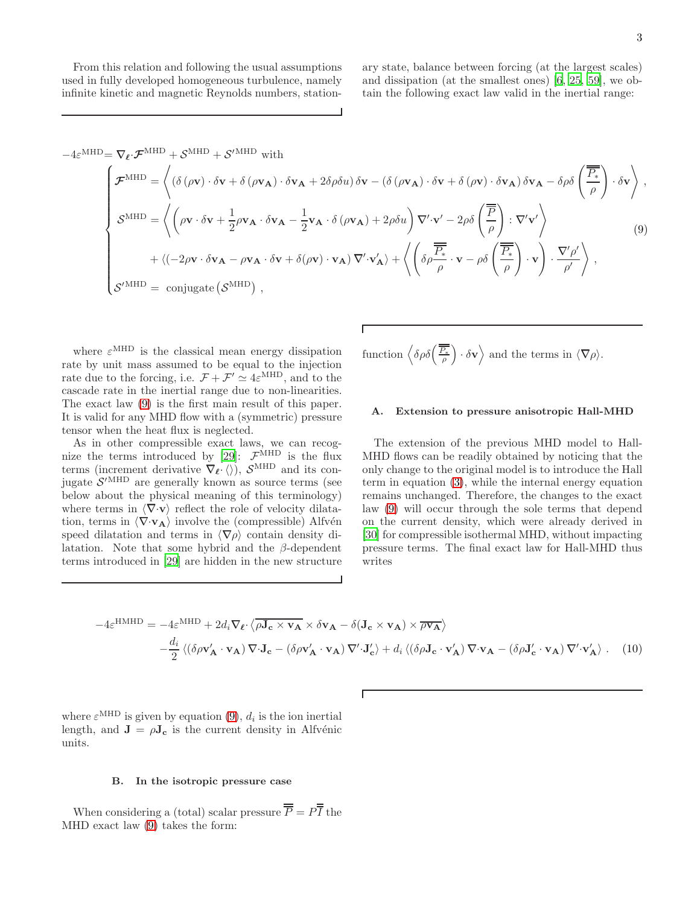From this relation and following the usual assumptions used in fully developed homogeneous turbulence, namely infinite kinetic and magnetic Reynolds numbers, stationary state, balance between forcing (at the largest scales) and dissipation (at the smallest ones) [\[6](#page-6-7), [25](#page-7-1), [59\]](#page-8-6), we obtain the following exact law valid in the inertial range:

<span id="page-2-0"></span>
$$
-4\varepsilon^{\text{MHD}} = \nabla_{\ell} \cdot \mathcal{F}^{\text{MHD}} + \mathcal{S}^{\text{MHD}} + \mathcal{S}^{\text{MHD}} \text{ with}
$$
\n
$$
\mathcal{F}^{\text{MHD}} = \left\langle (\delta (\rho \mathbf{v}) \cdot \delta \mathbf{v} + \delta (\rho \mathbf{v}_{\mathbf{A}}) \cdot \delta \mathbf{v}_{\mathbf{A}} + 2\delta \rho \delta u) \delta \mathbf{v} - (\delta (\rho \mathbf{v}_{\mathbf{A}}) \cdot \delta \mathbf{v} + \delta (\rho \mathbf{v}) \cdot \delta \mathbf{v}_{\mathbf{A}}) \delta \mathbf{v}_{\mathbf{A}} - \delta \rho \delta \left( \frac{\overline{P_{*}}}{\rho} \right) \cdot \delta \mathbf{v} \right\rangle,
$$
\n
$$
\mathcal{S}^{\text{MHD}} = \left\langle \left( \rho \mathbf{v} \cdot \delta \mathbf{v} + \frac{1}{2} \rho \mathbf{v}_{\mathbf{A}} \cdot \delta \mathbf{v}_{\mathbf{A}} - \frac{1}{2} \mathbf{v}_{\mathbf{A}} \cdot \delta (\rho \mathbf{v}_{\mathbf{A}}) + 2\rho \delta u \right) \nabla' \cdot \mathbf{v}' - 2\rho \delta \left( \frac{\overline{P}}{\rho} \right) : \nabla' \mathbf{v}' \right\rangle
$$
\n
$$
+ \left\langle (-2\rho \mathbf{v} \cdot \delta \mathbf{v}_{\mathbf{A}} - \rho \mathbf{v}_{\mathbf{A}} \cdot \delta \mathbf{v} + \delta (\rho \mathbf{v}) \cdot \mathbf{v}_{\mathbf{A}} \right\rangle \nabla' \cdot \mathbf{v}'_{\mathbf{A}} \rangle + \left\langle \left( \delta \rho \frac{\overline{P_{*}}}{\rho} \cdot \mathbf{v} - \rho \delta \left( \frac{\overline{P_{*}}}{\rho} \right) \cdot \mathbf{v} \right) \cdot \frac{\nabla' \rho'}{\rho'} \right\rangle,
$$
\n(9)\n
$$
\mathcal{S}^{\text{MHD}} = \text{conjugate} \left( \mathcal{S}^{\text{MHD}} \right),
$$

where  $\varepsilon^{\text{MHD}}$  is the classical mean energy dissipation rate by unit mass assumed to be equal to the injection rate due to the forcing, i.e.  $\mathcal{F} + \mathcal{F}' \simeq 4\varepsilon^{MHD}$ , and to the cascade rate in the inertial range due to non-linearities. The exact law [\(9\)](#page-2-0) is the first main result of this paper. It is valid for any MHD flow with a (symmetric) pressure tensor when the heat flux is neglected.

As in other compressible exact laws, we can recog-nize the terms introduced by [\[29](#page-7-16)]:  $\mathcal{F}^{\text{MHD}}$  is the flux terms (increment derivative  $\tilde{\nabla}_{\ell} \chi$ ,  $\langle \rangle$ ),  $\mathcal{S}^{\text{MHD}}$  and its conjugate  $S'$ <sup>MHD</sup> are generally known as source terms (see below about the physical meaning of this terminology) where terms in  $\langle \nabla \cdot \mathbf{v} \rangle$  reflect the role of velocity dilatation, terms in  $\langle \nabla \cdot \mathbf{v}_{\mathbf{A}} \rangle$  involve the (compressible) Alfvén speed dilatation and terms in  $\langle \nabla \rho \rangle$  contain density dilatation. Note that some hybrid and the  $\beta$ -dependent terms introduced in [\[29\]](#page-7-16) are hidden in the new structure

function 
$$
\left\langle \delta \rho \delta \left( \frac{\overline{\overline{P_*}}}{\rho} \right) \cdot \delta \mathbf{v} \right\rangle
$$
 and the terms in  $\langle \nabla \rho \rangle$ .

#### <span id="page-2-1"></span>A. Extension to pressure anisotropic Hall-MHD

The extension of the previous MHD model to Hall-MHD flows can be readily obtained by noticing that the only change to the original model is to introduce the Hall term in equation [\(3\)](#page-0-1), while the internal energy equation remains unchanged. Therefore, the changes to the exact law [\(9\)](#page-2-0) will occur through the sole terms that depend on the current density, which were already derived in [\[30\]](#page-7-17) for compressible isothermal MHD, without impacting pressure terms. The final exact law for Hall-MHD thus writes

<span id="page-2-2"></span>
$$
-4\varepsilon^{\text{HMHD}} = -4\varepsilon^{\text{MHD}} + 2d_i \nabla_{\ell} \cdot \langle \overline{\rho \mathbf{J_c} \times \mathbf{v_A}} \times \delta \mathbf{v_A} - \delta(\mathbf{J_c} \times \mathbf{v_A}) \times \overline{\rho \mathbf{v_A}} \rangle
$$
  

$$
- \frac{d_i}{2} \langle (\delta \rho \mathbf{v_A'} \cdot \mathbf{v_A}) \nabla \cdot \mathbf{J_c} - (\delta \rho \mathbf{v_A'} \cdot \mathbf{v_A}) \nabla' \cdot \mathbf{J_c'} \rangle + d_i \langle (\delta \rho \mathbf{J_c} \cdot \mathbf{v_A'}) \nabla \cdot \mathbf{v_A} - (\delta \rho \mathbf{J_c'} \cdot \mathbf{v_A}) \nabla' \cdot \mathbf{v_A'} \rangle. \quad (10)
$$

where  $\varepsilon^{\text{MHD}}$  is given by equation [\(9\)](#page-2-0),  $d_i$  is the ion inertial length, and  $\mathbf{J} = \rho \mathbf{J}_c$  is the current density in Alfvénic units.

#### B. In the isotropic pressure case

When considering a (total) scalar pressure  $\overline{\overline{P}} = P\overline{I}$  the MHD exact law [\(9\)](#page-2-0) takes the form: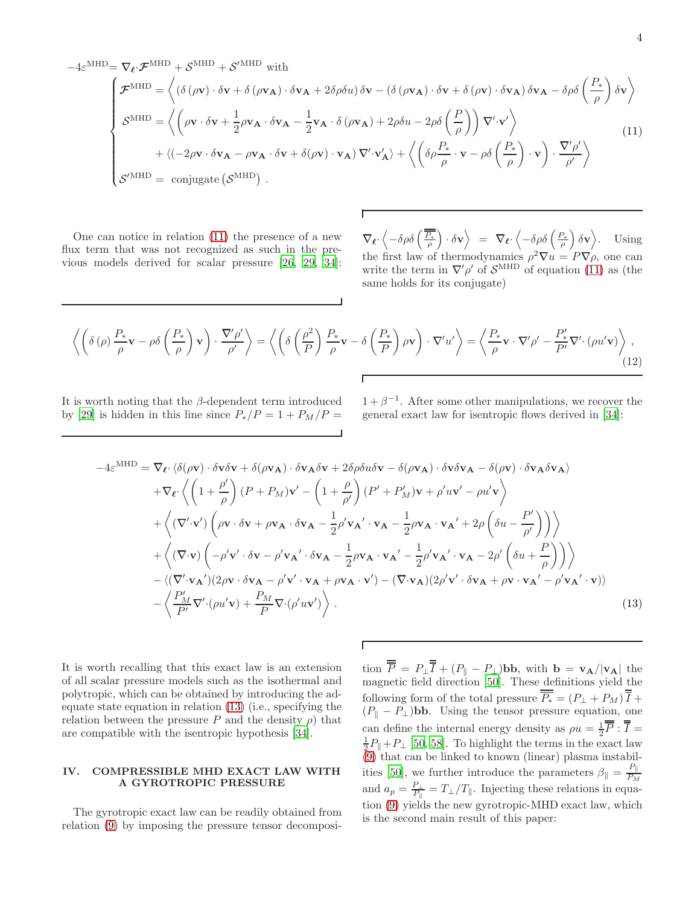<span id="page-3-0"></span> $-4\varepsilon^{\text{MHD}} = \nabla_{\ell} \cdot \boldsymbol{\mathcal{F}}^{\text{MHD}} + \mathcal{S}^{\text{MHD}} + \mathcal{S}'^{\text{MHD}}$  with

$$
\begin{cases}\n\mathcal{F}^{\text{MHD}} = \left\langle \left( \delta \left( \rho \mathbf{v} \right) \cdot \delta \mathbf{v} + \delta \left( \rho \mathbf{v}_{\mathbf{A}} \right) \cdot \delta \mathbf{v}_{\mathbf{A}} + 2 \delta \rho \delta u \right) \delta \mathbf{v} - \left( \delta \left( \rho \mathbf{v}_{\mathbf{A}} \right) \cdot \delta \mathbf{v} + \delta \left( \rho \mathbf{v} \right) \cdot \delta \mathbf{v}_{\mathbf{A}} \right) \delta \mathbf{v}_{\mathbf{A}} - \delta \rho \delta \left( \frac{P_*}{\rho} \right) \delta \mathbf{v} \right\rangle \\
\mathcal{S}^{\text{MHD}} = \left\langle \left( \rho \mathbf{v} \cdot \delta \mathbf{v} + \frac{1}{2} \rho \mathbf{v}_{\mathbf{A}} \cdot \delta \mathbf{v}_{\mathbf{A}} - \frac{1}{2} \mathbf{v}_{\mathbf{A}} \cdot \delta \left( \rho \mathbf{v}_{\mathbf{A}} \right) + 2 \rho \delta u - 2 \rho \delta \left( \frac{P}{\rho} \right) \right) \nabla' \cdot \mathbf{v}' \right\rangle \\
+ \left\langle \left( -2 \rho \mathbf{v} \cdot \delta \mathbf{v}_{\mathbf{A}} - \rho \mathbf{v}_{\mathbf{A}} \cdot \delta \mathbf{v} + \delta (\rho \mathbf{v}) \cdot \mathbf{v}_{\mathbf{A}} \right) \nabla' \cdot \mathbf{v}'_{\mathbf{A}} \right\rangle + \left\langle \left( \delta \rho \frac{P_*}{\rho} \cdot \mathbf{v} - \rho \delta \left( \frac{P_*}{\rho} \right) \cdot \mathbf{v} \right) \cdot \frac{\nabla' \rho'}{\rho'} \right\rangle \\
\mathcal{S}^{\prime \text{MHD}} = \text{conjugate} \left( \mathcal{S}^{\text{MHD}} \right) .\n\end{cases} \tag{11}
$$

One can notice in relation [\(11\)](#page-3-0) the presence of a new flux term that was not recognized as such in the previous models derived for scalar pressure [\[26,](#page-7-18) [29](#page-7-16), [34\]](#page-7-2):

 $\nabla_{\ell} \cdot \left\langle -\delta \rho \delta \left( \frac{\overline{P_*}}{\rho} \right) \cdot \delta \mathbf{v} \right\rangle = \nabla_{\ell} \cdot \left\langle -\delta \rho \delta \left( \frac{P_*}{\rho} \right) \delta \mathbf{v} \right\rangle$ . Using the first law of thermodynamics  $\rho^2 \nabla u = P \nabla \rho$ , one can write the term in  $\nabla' \rho'$  of  $\mathcal{S}^{\text{MHD}}$  of equation [\(11\)](#page-3-0) as (the same holds for its conjugate)

$$
\left\langle \left( \delta(\rho) \frac{P_*}{\rho} \mathbf{v} - \rho \delta \left( \frac{P_*}{\rho} \right) \mathbf{v} \right) \cdot \frac{\nabla' \rho'}{\rho'} \right\rangle = \left\langle \left( \delta \left( \frac{\rho^2}{P} \right) \frac{P_*}{\rho} \mathbf{v} - \delta \left( \frac{P_*}{P} \right) \rho \mathbf{v} \right) \cdot \nabla' u' \right\rangle = \left\langle \frac{P_*}{\rho} \mathbf{v} \cdot \nabla' \rho' - \frac{P'_*}{P'} \nabla' \cdot (\rho u' \mathbf{v}) \right\rangle, \tag{12}
$$

It is worth noting that the  $\beta$ -dependent term introduced by [\[29\]](#page-7-16) is hidden in this line since  $P_*/P = 1 + P_M/P =$ 

 $1 + \beta^{-1}$ . After some other manipulations, we recover the general exact law for isentropic flows derived in [\[34\]](#page-7-2):

<span id="page-3-1"></span>
$$
-4\varepsilon^{\text{MHD}} = \nabla_{\ell} \cdot \langle \delta(\rho \mathbf{v}) \cdot \delta \mathbf{v} \delta \mathbf{v} + \delta(\rho \mathbf{v}_{\mathbf{A}}) \cdot \delta \mathbf{v}_{\mathbf{A}} \delta \mathbf{v} + 2\delta \rho \delta u \delta \mathbf{v} - \delta(\rho \mathbf{v}_{\mathbf{A}}) \cdot \delta \mathbf{v} \delta \mathbf{v}_{\mathbf{A}} - \delta(\rho \mathbf{v}) \cdot \delta \mathbf{v}_{\mathbf{A}} \delta \mathbf{v}_{\mathbf{A}} \rangle
$$
  
+ 
$$
\nabla_{\ell} \cdot \left\langle \left( 1 + \frac{\rho'}{\rho} \right) (P + P_M) \mathbf{v}' - \left( 1 + \frac{\rho}{\rho'} \right) (P' + P_M') \mathbf{v} + \rho' u \mathbf{v}' - \rho u' \mathbf{v} \right\rangle
$$
  
+ 
$$
\left\langle (\nabla' \cdot \mathbf{v}') \left( \rho \mathbf{v} \cdot \delta \mathbf{v} + \rho \mathbf{v}_{\mathbf{A}} \cdot \delta \mathbf{v}_{\mathbf{A}} - \frac{1}{2} \rho' \mathbf{v}_{\mathbf{A}}' \cdot \mathbf{v}_{\mathbf{A}} - \frac{1}{2} \rho \mathbf{v}_{\mathbf{A}} \cdot \mathbf{v}_{\mathbf{A}}' + 2\rho \left( \delta u - \frac{P'}{\rho'} \right) \right) \right\rangle
$$
  
+ 
$$
\left\langle (\nabla \cdot \mathbf{v}) \left( -\rho' \mathbf{v}' \cdot \delta \mathbf{v} - \rho' \mathbf{v}_{\mathbf{A}}' \cdot \delta \mathbf{v}_{\mathbf{A}} - \frac{1}{2} \rho \mathbf{v}_{\mathbf{A}} \cdot \mathbf{v}_{\mathbf{A}}' - \frac{1}{2} \rho' \mathbf{v}_{\mathbf{A}}' \cdot \mathbf{v}_{\mathbf{A}} - 2\rho' \left( \delta u + \frac{P}{\rho} \right) \right) \right\rangle
$$
  
- 
$$
\left\langle (\nabla' \cdot \mathbf{v}_{\mathbf{A}}') (2\rho \mathbf{v} \cdot \delta \mathbf{v}_{\mathbf{A}} - \rho' \mathbf{v}' \cdot \mathbf{v}_{\
$$

It is worth recalling that this exact law is an extension of all scalar pressure models such as the isothermal and polytropic, which can be obtained by introducing the adequate state equation in relation [\(13\)](#page-3-1) (i.e., specifying the relation between the pressure P and the density  $\rho$ ) that are compatible with the isentropic hypothesis [\[34\]](#page-7-2).

# IV. COMPRESSIBLE MHD EXACT LAW WITH A GYROTROPIC PRESSURE

The gyrotropic exact law can be readily obtained from relation [\(9\)](#page-2-0) by imposing the pressure tensor decomposi-

tion  $P = P_{\perp}I + (P_{\parallel} - P_{\perp})$  bb, with  $\mathbf{b} = \mathbf{v}_{\mathbf{A}}/|\mathbf{v}_{\mathbf{A}}|$  the magnetic field direction [\[50](#page-7-15)]. These definitions yield the following form of the total pressure  $P_* = (P_\perp + P_M) I +$  $(P_{\parallel} - P_{\perp})$ **bb.** Using the tensor pressure equation, one can define the internal energy density as  $\rho u = \frac{1}{2}\overline{\overline{P}} : \overline{\overline{I}} =$  $\frac{1}{2}P_{\parallel}+P_{\perp}$  [\[50,](#page-7-15) [58\]](#page-8-5). To highlight the terms in the exact law  $(9)$  that can be linked to known (linear) plasma instabil-ities [\[50](#page-7-15)], we further introduce the parameters  $\beta_{\parallel} = \frac{P_{\parallel}}{P_{M}}$  $P_M$ and  $a_p = \frac{P_{\perp}}{P_{\parallel}} = T_{\perp}/T_{\parallel}$ . Injecting these relations in equation [\(9\)](#page-2-0) yields the new gyrotropic-MHD exact law, which is the second main result of this paper: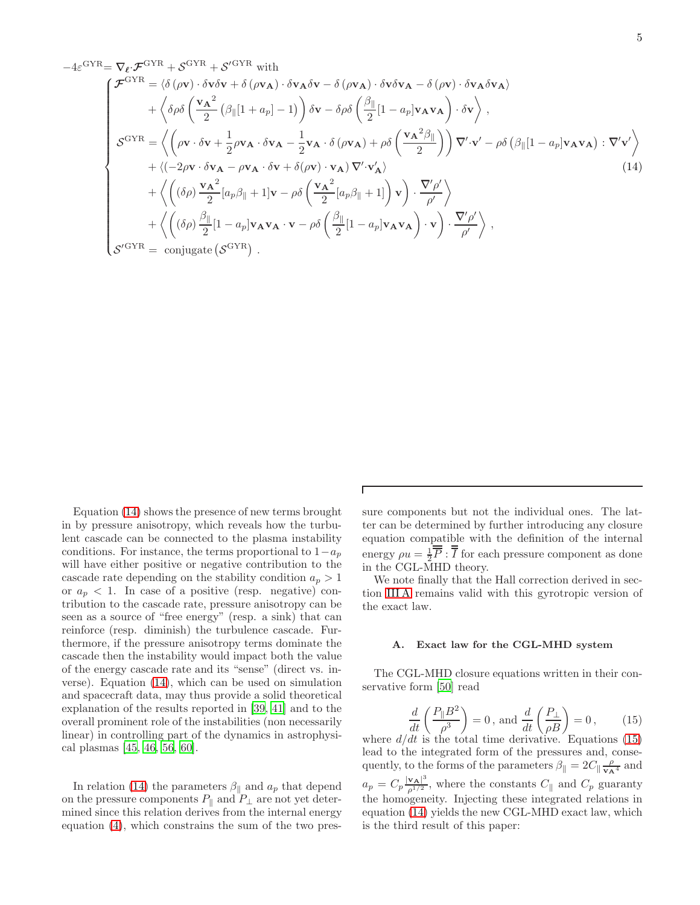<span id="page-4-0"></span>
$$
-4\varepsilon^{\text{GYR}} = \nabla_{\ell} \cdot \mathcal{F}^{\text{GYR}} + \mathcal{S}^{\text{GYR}} + \mathcal{S}^{\text{GYR}} \text{ with}
$$
\n
$$
\mathcal{F}^{\text{GYR}} = \langle \delta (\rho \mathbf{v}) \cdot \delta \mathbf{v} \delta \mathbf{v} + \delta (\rho \mathbf{v}_{\mathbf{A}}) \cdot \delta \mathbf{v}_{\mathbf{A}} \delta \mathbf{v} - \delta (\rho \mathbf{v}_{\mathbf{A}}) \cdot \delta \mathbf{v} \delta \mathbf{v}_{\mathbf{A}} - \delta (\rho \mathbf{v}) \cdot \delta \mathbf{v}_{\mathbf{A}} \delta \mathbf{v}_{\mathbf{A}} \rangle
$$
\n
$$
+ \langle \delta \rho \delta \left( \frac{\mathbf{v}_{\mathbf{A}}^2}{2} (\beta_{\parallel} [1 + a_{p}] - 1) \right) \delta \mathbf{v} - \delta \rho \delta \left( \frac{\beta_{\parallel}}{2} [1 - a_{p}] \mathbf{v}_{\mathbf{A}} \mathbf{v}_{\mathbf{A}} \right) \cdot \delta \mathbf{v} \rangle ,
$$
\n
$$
\mathcal{S}^{\text{GYR}} = \langle (\rho \mathbf{v} \cdot \delta \mathbf{v} + \frac{1}{2} \rho \mathbf{v}_{\mathbf{A}} \cdot \delta \mathbf{v}_{\mathbf{A}} - \frac{1}{2} \mathbf{v}_{\mathbf{A}} \cdot \delta (\rho \mathbf{v}_{\mathbf{A}}) + \rho \delta \left( \frac{\mathbf{v}_{\mathbf{A}}^2 \beta_{\parallel}}{2} \right) \right) \nabla' \cdot \mathbf{v}' - \rho \delta (\beta_{\parallel} [1 - a_{p}] \mathbf{v}_{\mathbf{A}} \mathbf{v}_{\mathbf{A}}) : \nabla' \mathbf{v}' \rangle
$$
\n
$$
+ \langle (-2\rho \mathbf{v} \cdot \delta \mathbf{v}_{\mathbf{A}} - \rho \mathbf{v}_{\mathbf{A}} \cdot \delta \mathbf{v} + \delta (\rho \mathbf{v}) \cdot \mathbf{v}_{\mathbf{A}}) \nabla' \cdot \mathbf{v}'_{\mathbf{A}} \rangle
$$
\n
$$
+ \langle (\delta \rho) \frac{\mathbf{v}_{\
$$

Equation [\(14\)](#page-4-0) shows the presence of new terms brought in by pressure anisotropy, which reveals how the turbulent cascade can be connected to the plasma instability conditions. For instance, the terms proportional to  $1-a_p$ will have either positive or negative contribution to the cascade rate depending on the stability condition  $a_p > 1$ or  $a_p < 1$ . In case of a positive (resp. negative) contribution to the cascade rate, pressure anisotropy can be seen as a source of "free energy" (resp. a sink) that can reinforce (resp. diminish) the turbulence cascade. Furthermore, if the pressure anisotropy terms dominate the cascade then the instability would impact both the value of the energy cascade rate and its "sense" (direct vs. inverse). Equation [\(14\)](#page-4-0), which can be used on simulation and spacecraft data, may thus provide a solid theoretical explanation of the results reported in [\[39,](#page-7-19) [41\]](#page-7-6) and to the overall prominent role of the instabilities (non necessarily linear) in controlling part of the dynamics in astrophysical plasmas [\[45,](#page-7-12) [46](#page-7-13), [56](#page-8-3), [60](#page-8-7)].

In relation [\(14\)](#page-4-0) the parameters  $\beta_{\parallel}$  and  $a_p$  that depend on the pressure components  $P_{\parallel}$  and  $P_{\perp}$  are not yet determined since this relation derives from the internal energy equation [\(4\)](#page-1-0), which constrains the sum of the two pressure components but not the individual ones. The latter can be determined by further introducing any closure equation compatible with the definition of the internal energy  $\rho u = \frac{1}{2} \overline{P} : \overline{I}$  for each pressure component as done in the CGL-MHD theory.

We note finally that the Hall correction derived in section [III A](#page-2-1) remains valid with this gyrotropic version of the exact law.

#### A. Exact law for the CGL-MHD system

The CGL-MHD closure equations written in their conservative form [\[50\]](#page-7-15) read

<span id="page-4-1"></span>
$$
\frac{d}{dt}\left(\frac{P_{\parallel}B^2}{\rho^3}\right) = 0, \text{ and } \frac{d}{dt}\left(\frac{P_{\perp}}{\rho B}\right) = 0, \quad (15)
$$

where  $d/dt$  is the total time derivative. Equations [\(15\)](#page-4-1) lead to the integrated form of the pressures and, consequently, to the forms of the parameters  $\beta_{\parallel} = 2C_{\parallel} \frac{\rho}{\mathbf{v_A}^4}$  and  $a_p = C_p \frac{|{\bf v_A}|^3}{a^{1/2}}$  $\frac{\mathbf{v}_{\mathbf{A}}}{\rho^{1/2}}$ , where the constants  $C_{\parallel}$  and  $C_p$  guaranty the homogeneity. Injecting these integrated relations in equation [\(14\)](#page-4-0) yields the new CGL-MHD exact law, which is the third result of this paper: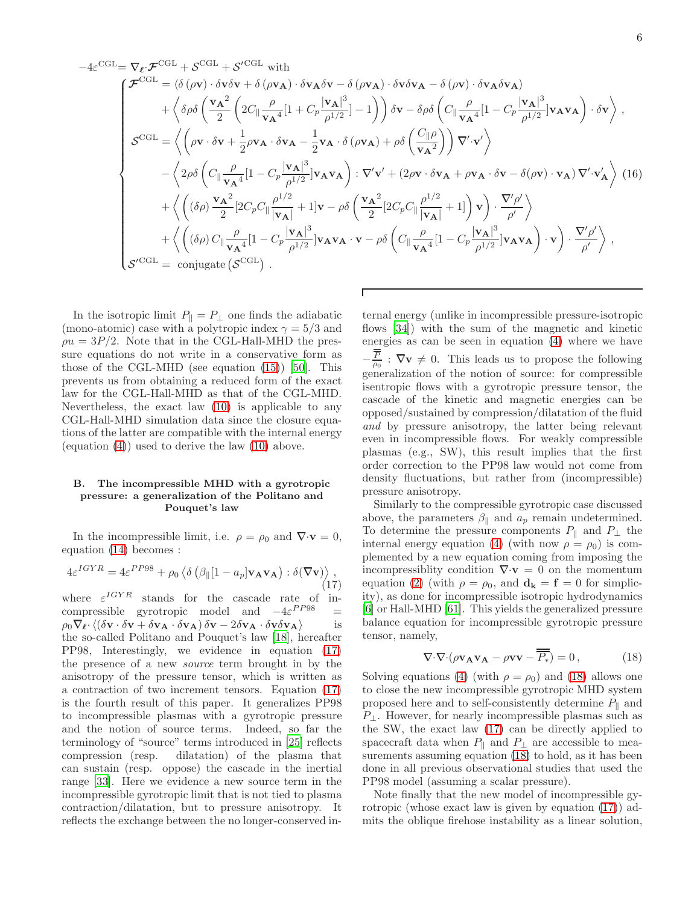$$
-4\varepsilon^{\text{CGL}} = \nabla_{\ell} \cdot \mathcal{F}^{\text{CGL}} + \mathcal{S}^{\text{CGL}} \text{ with}
$$
\n
$$
-4\varepsilon^{\text{CGL}} = \langle \delta \left( \rho \mathbf{v} \right) \cdot \delta \mathbf{v} \delta \mathbf{v} + \delta \left( \rho \mathbf{v}_{\mathbf{A}} \right) \cdot \delta \mathbf{v}_{\mathbf{A}} \delta \mathbf{v} - \delta \left( \rho \mathbf{v}_{\mathbf{A}} \right) \cdot \delta \mathbf{v} \delta \mathbf{v}_{\mathbf{A}} - \delta \left( \rho \mathbf{v} \right) \cdot \delta \mathbf{v}_{\mathbf{A}} \delta \mathbf{v}_{\mathbf{A}} \rangle
$$
\n
$$
+ \left\langle \delta \rho \delta \left( \frac{\mathbf{v}_{\mathbf{A}}^2}{2} \left( 2C_{\parallel} \frac{\rho}{\mathbf{v}_{\mathbf{A}}^4} [1 + C_{p} \frac{|\mathbf{v}_{\mathbf{A}}|^3}{\rho^{1/2}}] - 1 \right) \right) \delta \mathbf{v} - \delta \rho \delta \left( C_{\parallel} \frac{\rho}{\mathbf{v}_{\mathbf{A}}^4} [1 - C_{p} \frac{|\mathbf{v}_{\mathbf{A}}|^3}{\rho^{1/2}}] \mathbf{v}_{\mathbf{A}} \mathbf{v}_{\mathbf{A}} \right) \cdot \delta \mathbf{v} \right\rangle,
$$
\n
$$
\mathcal{S}^{\text{GGL}} = \left\langle \left( \rho \mathbf{v} \cdot \delta \mathbf{v} + \frac{1}{2} \rho \mathbf{v}_{\mathbf{A}} \cdot \delta \mathbf{v}_{\mathbf{A}} - \frac{1}{2} \mathbf{v}_{\mathbf{A}} \cdot \delta \left( \rho \mathbf{v}_{\mathbf{A}} \right) + \rho \delta \left( \frac{C_{\parallel} \rho}{\mathbf{v}_{\mathbf{A}}^2} \right) \right) \nabla' \cdot \mathbf{v}' \right\rangle
$$
\n
$$
- \left\langle 2\rho \delta \left( C_{\parallel} \frac{\rho}{\mathbf{v}_{\mathbf{A}}^4} [1 - C_{p} \frac{|\mathbf{v}_{\mathbf{A}}|^3}{\rho^{1/2}}] \math
$$

In the isotropic limit  $P_{\parallel} = P_{\perp}$  one finds the adiabatic (mono-atomic) case with a polytropic index  $\gamma = 5/3$  and  $\rho u = 3P/2$ . Note that in the CGL-Hall-MHD the pressure equations do not write in a conservative form as those of the CGL-MHD (see equation  $(15)$ ) [\[50\]](#page-7-15). This prevents us from obtaining a reduced form of the exact law for the CGL-Hall-MHD as that of the CGL-MHD. Nevertheless, the exact law [\(10\)](#page-2-2) is applicable to any CGL-Hall-MHD simulation data since the closure equations of the latter are compatible with the internal energy (equation [\(4\)](#page-1-0)) used to derive the law [\(10\)](#page-2-2) above.

## B. The incompressible MHD with a gyrotropic pressure: a generalization of the Politano and Pouquet's law

In the incompressible limit, i.e.  $\rho = \rho_0$  and  $\nabla \cdot \mathbf{v} = 0$ , equation [\(14\)](#page-4-0) becomes :

<span id="page-5-0"></span>
$$
4\varepsilon^{IGYR} = 4\varepsilon^{PP98} + \rho_0 \left\langle \delta \left( \beta_{\parallel} [1 - a_p] \mathbf{v}_A \mathbf{v}_A \right) : \delta(\nabla \mathbf{v}) \right\rangle, \tag{17}
$$

where  $\varepsilon^{IGYR}$  stands for the cascade rate of incompressible gyrotropic model and  $-4\varepsilon^{PP98}$  =  $\rho_0 \nabla_{\ell} \cdot \langle (\delta \mathbf{v} \cdot \delta \mathbf{v} + \delta \mathbf{v_A} \cdot \delta \mathbf{v_A}) \delta \mathbf{v} - 2 \delta \mathbf{v_A} \cdot \delta \mathbf{v} \delta \mathbf{v_A} \rangle$  is the so-called Politano and Pouquet's law [\[18](#page-6-9)], hereafter PP98, Interestingly, we evidence in equation [\(17\)](#page-5-0) the presence of a new source term brought in by the anisotropy of the pressure tensor, which is written as a contraction of two increment tensors. Equation [\(17\)](#page-5-0) is the fourth result of this paper. It generalizes PP98 to incompressible plasmas with a gyrotropic pressure and the notion of source terms. Indeed, so far the terminology of "source" terms introduced in [\[25\]](#page-7-1) reflects compression (resp. dilatation) of the plasma that can sustain (resp. oppose) the cascade in the inertial range [\[33\]](#page-7-20). Here we evidence a new source term in the incompressible gyrotropic limit that is not tied to plasma contraction/dilatation, but to pressure anisotropy. It reflects the exchange between the no longer-conserved in-

ternal energy (unlike in incompressible pressure-isotropic flows [\[34](#page-7-2)]) with the sum of the magnetic and kinetic energies as can be seen in equation [\(4\)](#page-1-0) where we have  $-\frac{P}{\rho_0}$ :  $\nabla v \neq 0$ . This leads us to propose the following generalization of the notion of source: for compressible isentropic flows with a gyrotropic pressure tensor, the cascade of the kinetic and magnetic energies can be opposed/sustained by compression/dilatation of the fluid and by pressure anisotropy, the latter being relevant even in incompressible flows. For weakly compressible plasmas (e.g., SW), this result implies that the first order correction to the PP98 law would not come from density fluctuations, but rather from (incompressible) pressure anisotropy.

Similarly to the compressible gyrotropic case discussed above, the parameters  $\beta_{\parallel}$  and  $a_p$  remain undetermined. To determine the pressure components  $P_{\parallel}$  and  $P_{\perp}$  the internal energy equation [\(4\)](#page-1-0) (with now  $\rho = \rho_0$ ) is complemented by a new equation coming from imposing the incompressiblity condition  $\nabla \cdot \mathbf{v} = 0$  on the momentum equation [\(2\)](#page-0-1) (with  $\rho = \rho_0$ , and  $\mathbf{d}_{\mathbf{k}} = \mathbf{f} = 0$  for simplicity), as done for incompressible isotropic hydrodynamics [\[6\]](#page-6-7) or Hall-MHD [\[61\]](#page-8-8). This yields the generalized pressure balance equation for incompressible gyrotropic pressure tensor, namely,

<span id="page-5-1"></span>
$$
\nabla \cdot \nabla \cdot (\rho \mathbf{v}_{\mathbf{A}} \mathbf{v}_{\mathbf{A}} - \rho \mathbf{v} \mathbf{v} - \overline{P_*}) = 0, \qquad (18)
$$

Solving equations [\(4\)](#page-1-0) (with  $\rho = \rho_0$ ) and [\(18\)](#page-5-1) allows one to close the new incompressible gyrotropic MHD system proposed here and to self-consistently determine  $P_{\parallel}$  and  $P_{\perp}$ . However, for nearly incompressible plasmas such as the SW, the exact law [\(17\)](#page-5-0) can be directly applied to spacecraft data when  $P_{\parallel}$  and  $P_{\perp}$  are accessible to measurements assuming equation [\(18\)](#page-5-1) to hold, as it has been done in all previous observational studies that used the PP98 model (assuming a scalar pressure).

Note finally that the new model of incompressible gyrotropic (whose exact law is given by equation [\(17\)](#page-5-0)) admits the oblique firehose instability as a linear solution,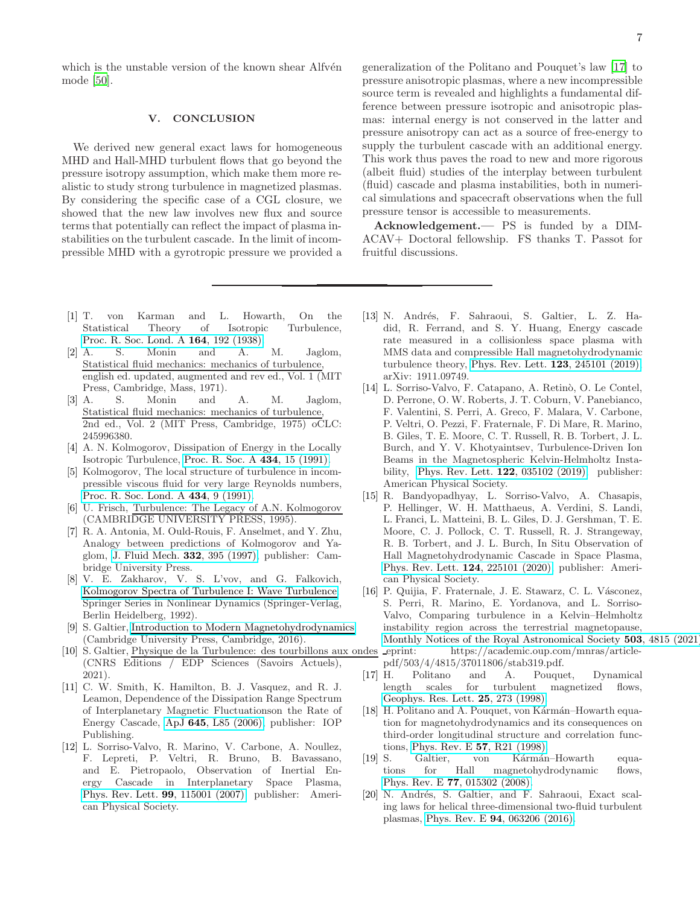which is the unstable version of the known shear Alfvén mode [\[50\]](#page-7-15).

### V. CONCLUSION

We derived new general exact laws for homogeneous MHD and Hall-MHD turbulent flows that go beyond the pressure isotropy assumption, which make them more realistic to study strong turbulence in magnetized plasmas. By considering the specific case of a CGL closure, we showed that the new law involves new flux and source terms that potentially can reflect the impact of plasma instabilities on the turbulent cascade. In the limit of incompressible MHD with a gyrotropic pressure we provided a

- <span id="page-6-0"></span>[1] T. von Karman and L. Howarth, On the Statistical Theory of Isotropic Turbulence, [Proc. R. Soc. Lond. A](https://doi.org/10.1098/rspa.1938.0013) 164, 192 (1938).
- [2] A. S. Monin and A. M. Jaglom, Statistical fluid mechanics: mechanics of turbulence, english ed. updated, augmented and rev ed., Vol. 1 (MIT Press, Cambridge, Mass, 1971).
- <span id="page-6-1"></span>[3] A. S. Monin and A. M. Jaglom, Statistical fluid mechanics: mechanics of turbulence, 2nd ed., Vol. 2 (MIT Press, Cambridge, 1975) oCLC: 245996380.
- <span id="page-6-2"></span>[4] A. N. Kolmogorov, Dissipation of Energy in the Locally Isotropic Turbulence, [Proc. R. Soc. A](https://doi.org/10.1098/rspa.1991.0076) 434, 15 (1991).
- [5] Kolmogorov, The local structure of turbulence in incompressible viscous fluid for very large Reynolds numbers, [Proc. R. Soc. Lond. A](https://doi.org/10.1098/rspa.1991.0075) 434, 9 (1991).
- <span id="page-6-7"></span>[6] U. Frisch, Turbulence: The Legacy of A.N. Kolmogorov (CAMBRIDGE UNIVERSITY PRESS, 1995).
- [7] R. A. Antonia, M. Ould-Rouis, F. Anselmet, and Y. Zhu, Analogy between predictions of Kolmogorov and Yaglom, [J. Fluid Mech.](https://doi.org/10.1017/S0022112096004090) 332, 395 (1997), publisher: Cambridge University Press.
- [8] V. E. Zakharov, V. S. L'vov, and G. Falkovich, [Kolmogorov Spectra of Turbulence I: Wave Turbulence,](https://doi.org/10.1007/978-3-642-50052-7) Springer Series in Nonlinear Dynamics (Springer-Verlag, Berlin Heidelberg, 1992).
- <span id="page-6-8"></span>[9] S. Galtier, [Introduction to Modern Magnetohydrodynamics](https://doi.org/10.1017/CBO9781316665961) (Cambridge University Press, Cambridge, 2016).
- <span id="page-6-3"></span>[10] S. Galtier, Physique de la Turbulence: des tourbillons aux ondes (CNRS Editions / EDP Sciences (Savoirs Actuels), 2021).
- <span id="page-6-4"></span>[11] C. W. Smith, K. Hamilton, B. J. Vasquez, and R. J. Leamon, Dependence of the Dissipation Range Spectrum of Interplanetary Magnetic Fluctuationson the Rate of Energy Cascade, ApJ 645[, L85 \(2006\),](https://doi.org/10.1086/506151) publisher: IOP Publishing.
- [12] L. Sorriso-Valvo, R. Marino, V. Carbone, A. Noullez, F. Lepreti, P. Veltri, R. Bruno, B. Bavassano, and E. Pietropaolo, Observation of Inertial Energy Cascade in Interplanetary Space Plasma, [Phys. Rev. Lett.](https://doi.org/10.1103/PhysRevLett.99.115001) 99, 115001 (2007), publisher: American Physical Society.

generalization of the Politano and Pouquet's law [\[17\]](#page-6-6) to pressure anisotropic plasmas, where a new incompressible source term is revealed and highlights a fundamental difference between pressure isotropic and anisotropic plasmas: internal energy is not conserved in the latter and pressure anisotropy can act as a source of free-energy to supply the turbulent cascade with an additional energy. This work thus paves the road to new and more rigorous (albeit fluid) studies of the interplay between turbulent (fluid) cascade and plasma instabilities, both in numerical simulations and spacecraft observations when the full

Acknowledgement.— PS is funded by a DIM-ACAV+ Doctoral fellowship. FS thanks T. Passot for fruitful discussions.

pressure tensor is accessible to measurements.

- [13] N. Andrés, F. Sahraoui, S. Galtier, L. Z. Hadid, R. Ferrand, and S. Y. Huang, Energy cascade rate measured in a collisionless space plasma with MMS data and compressible Hall magnetohydrodynamic turbulence theory, [Phys. Rev. Lett.](https://doi.org/10.1103/PhysRevLett.123.245101) 123, 245101 (2019), arXiv: 1911.09749.
- [14] L. Sorriso-Valvo, F. Catapano, A. Retinò, O. Le Contel, D. Perrone, O. W. Roberts, J. T. Coburn, V. Panebianco, F. Valentini, S. Perri, A. Greco, F. Malara, V. Carbone, P. Veltri, O. Pezzi, F. Fraternale, F. Di Mare, R. Marino, B. Giles, T. E. Moore, C. T. Russell, R. B. Torbert, J. L. Burch, and Y. V. Khotyaintsev, Turbulence-Driven Ion Beams in the Magnetospheric Kelvin-Helmholtz Instability, [Phys. Rev. Lett.](https://doi.org/10.1103/PhysRevLett.122.035102) 122, 035102 (2019), publisher: American Physical Society.
- [15] R. Bandyopadhyay, L. Sorriso-Valvo, A. Chasapis, P. Hellinger, W. H. Matthaeus, A. Verdini, S. Landi, L. Franci, L. Matteini, B. L. Giles, D. J. Gershman, T. E. Moore, C. J. Pollock, C. T. Russell, R. J. Strangeway, R. B. Torbert, and J. L. Burch, In Situ Observation of Hall Magnetohydrodynamic Cascade in Space Plasma, [Phys. Rev. Lett.](https://doi.org/10.1103/PhysRevLett.124.225101) 124, 225101 (2020), publisher: American Physical Society.
- <span id="page-6-5"></span>[16] P. Quijia, F. Fraternale, J. E. Stawarz, C. L. Vásconez, S. Perri, R. Marino, E. Yordanova, and L. Sorriso-Valvo, Comparing turbulence in a Kelvin–Helmholtz instability region across the terrestrial magnetopause, [Monthly Notices of the Royal Astronomical Society](https://doi.org/10.1093/mnras/stab319) 503, 4815 (2021) eprint: https://academic.oup.com/mnras/articlepdf/503/4/4815/37011806/stab319.pdf.
- <span id="page-6-6"></span>[17] H. Politano and A. Pouquet, Dynamical length scales for turbulent magnetized flows, [Geophys. Res. Lett.](https://doi.org/10.1029/97GL03642) 25, 273 (1998).
- <span id="page-6-9"></span>[18] H. Politano and A. Pouquet, von Kármán–Howarth equation for magnetohydrodynamics and its consequences on third-order longitudinal structure and correlation functions, [Phys. Rev. E](https://doi.org/10.1103/PhysRevE.57.R21) 57, R21 (1998).
- [19] S. Galtier, von Kármán–Howarth equations for Hall magnetohydrodynamic flows, Phys. Rev. E 77[, 015302 \(2008\).](https://doi.org/10.1103/PhysRevE.77.015302)
- [20] N. Andrés, S. Galtier, and F. Sahraoui, Exact scaling laws for helical three-dimensional two-fluid turbulent plasmas, Phys. Rev. E 94[, 063206 \(2016\).](https://doi.org/10.1103/PhysRevE.94.063206)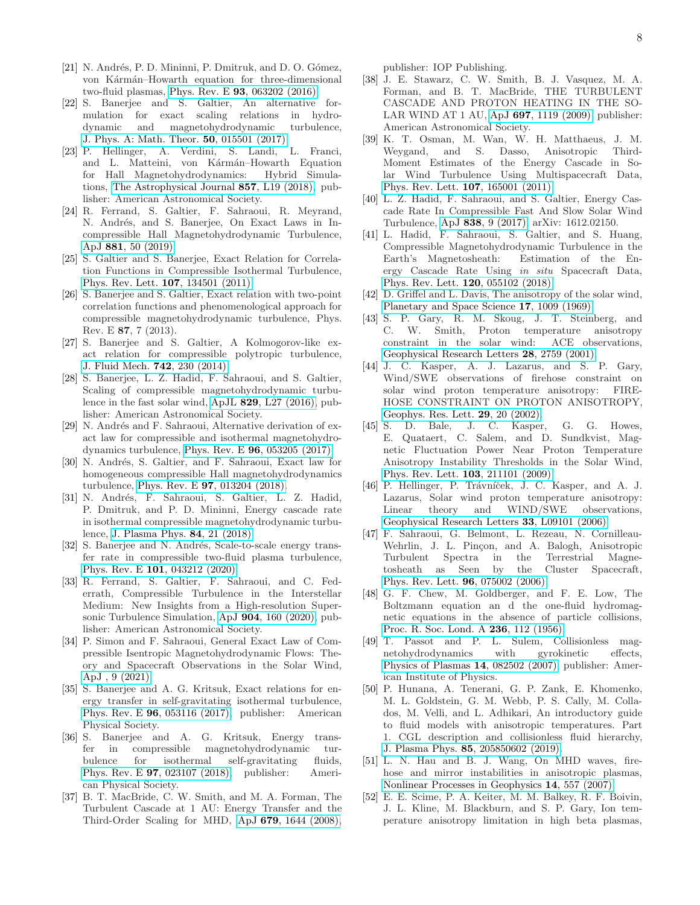- [21] N. Andrés, P. D. Mininni, P. Dmitruk, and D. O. Gómez, von Kármán–Howarth equation for three-dimensional two-fluid plasmas, Phys. Rev. E 93[, 063202 \(2016\).](https://doi.org/10.1103/PhysRevE.93.063202)
- [22] S. Banerjee and S. Galtier, An alternative formulation for exact scaling relations in hydrodynamic and magnetohydrodynamic turbulence, [J. Phys. A: Math. Theor.](https://doi.org/10.1088/1751-8113/50/1/015501) 50, 015501 (2017).
- [23] P. Hellinger, A. Verdini, S. Landi, L. Franci, and L. Matteini, von Kármán–Howarth Equation for Hall Magnetohydrodynamics: Hybrid Simulations, [The Astrophysical Journal](https://doi.org/10.3847/2041-8213/aabc06) 857, L19 (2018), publisher: American Astronomical Society.
- <span id="page-7-0"></span>[24] R. Ferrand, S. Galtier, F. Sahraoui, R. Meyrand, N. Andrés, and S. Banerjee, On Exact Laws in Incompressible Hall Magnetohydrodynamic Turbulence, ApJ 881[, 50 \(2019\).](https://doi.org/10.3847/1538-4357/ab2be9)
- <span id="page-7-1"></span>[25] S. Galtier and S. Banerjee, Exact Relation for Correlation Functions in Compressible Isothermal Turbulence, [Phys. Rev. Lett.](https://doi.org/10.1103/PhysRevLett.107.134501) 107, 134501 (2011).
- <span id="page-7-18"></span>[26] S. Banerjee and S. Galtier, Exact relation with two-point correlation functions and phenomenological approach for compressible magnetohydrodynamic turbulence, Phys. Rev. E 87, 7 (2013).
- [27] S. Banerjee and S. Galtier, A Kolmogorov-like exact relation for compressible polytropic turbulence, [J. Fluid Mech.](https://doi.org/10.1017/jfm.2013.657) 742, 230 (2014).
- [28] S. Banerjee, L. Z. Hadid, F. Sahraoui, and S. Galtier, Scaling of compressible magnetohydrodynamic turbulence in the fast solar wind, ApJL 829[, L27 \(2016\),](https://doi.org/10.3847/2041-8205/829/2/L27) publisher: American Astronomical Society.
- <span id="page-7-16"></span>[29] N. Andrés and F. Sahraoui, Alternative derivation of exact law for compressible and isothermal magnetohydrodynamics turbulence, Phys. Rev. E 96[, 053205 \(2017\).](https://doi.org/10.1103/PhysRevE.96.053205)
- <span id="page-7-17"></span>[30] N. Andrés, S. Galtier, and F. Sahraoui, Exact law for homogeneous compressible Hall magnetohydrodynamics turbulence, Phys. Rev. E 97[, 013204 \(2018\).](https://doi.org/10.1103/PhysRevE.97.013204)
- [31] N. Andrés, F. Sahraoui, S. Galtier, L. Z. Hadid, P. Dmitruk, and P. D. Mininni, Energy cascade rate in isothermal compressible magnetohydrodynamic turbulence, [J. Plasma Phys.](https://doi.org/10.1017/S0022377818000788) 84, 21 (2018).
- [32] S. Banerjee and N. Andrés, Scale-to-scale energy transfer rate in compressible two-fluid plasma turbulence, Phys. Rev. E 101[, 043212 \(2020\).](https://doi.org/10.1103/PhysRevE.101.043212)
- <span id="page-7-20"></span>[33] R. Ferrand, S. Galtier, F. Sahraoui, and C. Federrath, Compressible Turbulence in the Interstellar Medium: New Insights from a High-resolution Supersonic Turbulence Simulation, ApJ 904[, 160 \(2020\),](https://doi.org/10.3847/1538-4357/abb76e) publisher: American Astronomical Society.
- <span id="page-7-2"></span>[34] P. Simon and F. Sahraoui, General Exact Law of Compressible Isentropic Magnetohydrodynamic Flows: Theory and Spacecraft Observations in the Solar Wind, [ApJ , 9 \(2021\).](https://doi.org/10.3847/1538-4357/ac0337)
- <span id="page-7-3"></span>[35] S. Banerjee and A. G. Kritsuk, Exact relations for energy transfer in self-gravitating isothermal turbulence, Phys. Rev. E 96[, 053116 \(2017\),](https://doi.org/10.1103/PhysRevE.96.053116) publisher: American Physical Society.
- <span id="page-7-4"></span>[36] S. Banerjee and A. G. Kritsuk, Energy transfer in compressible magnetohydrodynamic turbulence for isothermal self-gravitating fluids, Phys. Rev. E 97[, 023107 \(2018\),](https://doi.org/10.1103/PhysRevE.97.023107) publisher: American Physical Society.
- <span id="page-7-5"></span>[37] B. T. MacBride, C. W. Smith, and M. A. Forman, The Turbulent Cascade at 1 AU: Energy Transfer and the Third-Order Scaling for MHD, ApJ 679[, 1644 \(2008\),](https://doi.org/10.1086/529575)

publisher: IOP Publishing.

- [38] J. E. Stawarz, C. W. Smith, B. J. Vasquez, M. A. Forman, and B. T. MacBride, THE TURBULENT CASCADE AND PROTON HEATING IN THE SO-LAR WIND AT 1 AU, ApJ 697[, 1119 \(2009\),](https://doi.org/10.1088/0004-637X/697/2/1119) publisher: American Astronomical Society.
- <span id="page-7-19"></span>[39] K. T. Osman, M. Wan, W. H. Matthaeus, J. M. Weygand, and S. Dasso, Anisotropic Third-Moment Estimates of the Energy Cascade in Solar Wind Turbulence Using Multispacecraft Data, [Phys. Rev. Lett.](https://doi.org/10.1103/PhysRevLett.107.165001) 107, 165001 (2011).
- [40] L. Z. Hadid, F. Sahraoui, and S. Galtier, Energy Cascade Rate In Compressible Fast And Slow Solar Wind Turbulence, ApJ 838[, 9 \(2017\),](https://doi.org/10.3847/1538-4357/aa603f) arXiv: 1612.02150.
- <span id="page-7-6"></span>[41] L. Hadid, F. Sahraoui, S. Galtier, and S. Huang, Compressible Magnetohydrodynamic Turbulence in the Earth's Magnetosheath: Estimation of the Energy Cascade Rate Using in situ Spacecraft Data, [Phys. Rev. Lett.](https://doi.org/10.1103/PhysRevLett.120.055102) 120, 055102 (2018).
- <span id="page-7-7"></span>[42] D. Griffel and L. Davis, The anisotropy of the solar wind, [Planetary and Space Science](https://doi.org/10.1016/0032-0633(69)90105-6) 17, 1009 (1969).
- [43] S. P. Gary, R. M. Skoug, J. T. Steinberg, and C. W. Smith, Proton temperature anisotropy constraint in the solar wind: ACE observations, [Geophysical Research Letters](https://doi.org/10.1029/2001GL013165) 28, 2759 (2001).
- [44] J. C. Kasper, A. J. Lazarus, and S. P. Gary, Wind/SWE observations of firehose constraint on solar wind proton temperature anisotropy: FIRE-HOSE CONSTRAINT ON PROTON ANISOTROPY, [Geophys. Res. Lett.](https://doi.org/10.1029/2002GL015128) 29, 20 (2002).
- <span id="page-7-12"></span>[45] S. D. Bale, J. C. Kasper, G. G. Howes, E. Quataert, C. Salem, and D. Sundkvist, Magnetic Fluctuation Power Near Proton Temperature Anisotropy Instability Thresholds in the Solar Wind, [Phys. Rev. Lett.](https://doi.org/10.1103/PhysRevLett.103.211101) 103, 211101 (2009).
- <span id="page-7-13"></span>[46] P. Hellinger, P. Trávníček, J. C. Kasper, and A. J. Lazarus, Solar wind proton temperature anisotropy: Linear theory and WIND/SWE observations, [Geophysical Research Letters](https://doi.org/10.1029/2006GL025925) 33, L09101 (2006).
- <span id="page-7-8"></span>[47] F. Sahraoui, G. Belmont, L. Rezeau, N. Cornilleau-Wehrlin, J. L. Pinçon, and A. Balogh, Anisotropic Turbulent Spectra in the Terrestrial Magnetosheath as Seen by the Cluster Spacecraft, [Phys. Rev. Lett.](https://doi.org/10.1103/PhysRevLett.96.075002) 96, 075002 (2006).
- <span id="page-7-9"></span>[48] G. F. Chew, M. Goldberger, and F. E. Low, The Boltzmann equation an d the one-fluid hydromagnetic equations in the absence of particle collisions, [Proc. R. Soc. Lond. A](https://doi.org/10.1098/rspa.1956.0116) 236, 112 (1956).
- <span id="page-7-10"></span>[49] T. Passot and P. L. Sulem, Collisionless magnetohydrodynamics with gyrokinetic effects, [Physics of Plasmas](https://doi.org/10.1063/1.2751601) 14, 082502 (2007), publisher: American Institute of Physics.
- <span id="page-7-15"></span>[50] P. Hunana, A. Tenerani, G. P. Zank, E. Khomenko, M. L. Goldstein, G. M. Webb, P. S. Cally, M. Collados, M. Velli, and L. Adhikari, An introductory guide to fluid models with anisotropic temperatures. Part 1. CGL description and collisionless fluid hierarchy, J. Plasma Phys. 85[, 205850602 \(2019\).](https://doi.org/10.1017/S0022377819000801)
- <span id="page-7-11"></span>[51] L. N. Hau and B. J. Wang, On MHD waves, firehose and mirror instabilities in anisotropic plasmas, [Nonlinear Processes in Geophysics](https://doi.org/10.5194/npg-14-557-2007) 14, 557 (2007).
- <span id="page-7-14"></span>[52] E. E. Scime, P. A. Keiter, M. M. Balkey, R. F. Boivin, J. L. Kline, M. Blackburn, and S. P. Gary, Ion temperature anisotropy limitation in high beta plasmas,